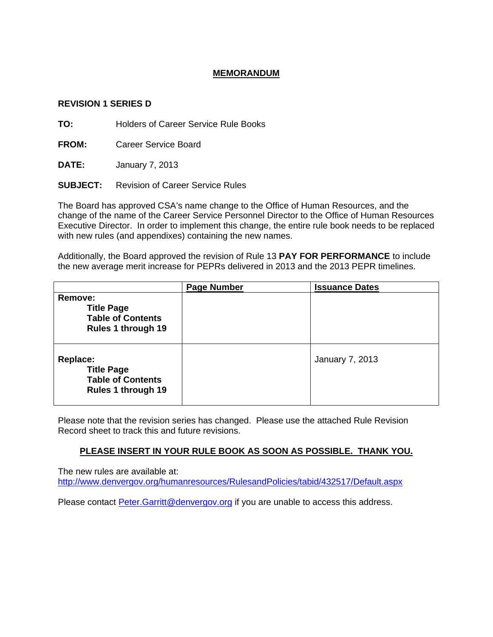## **MEMORANDUM**

## **REVISION 1 SERIES D**

**TO:** Holders of Career Service Rule Books

**FROM:** Career Service Board

**DATE:** January 7, 2013

**SUBJECT:** Revision of Career Service Rules

The Board has approved CSA's name change to the Office of Human Resources, and the change of the name of the Career Service Personnel Director to the Office of Human Resources Executive Director. In order to implement this change, the entire rule book needs to be replaced with new rules (and appendixes) containing the new names.

Additionally, the Board approved the revision of Rule 13 **PAY FOR PERFORMANCE** to include the new average merit increase for PEPRs delivered in 2013 and the 2013 PEPR timelines.

|                                                                                        | <b>Page Number</b> | <b>Issuance Dates</b>  |  |  |
|----------------------------------------------------------------------------------------|--------------------|------------------------|--|--|
| Remove:<br><b>Title Page</b><br><b>Table of Contents</b><br><b>Rules 1 through 19</b>  |                    |                        |  |  |
| Replace:<br><b>Title Page</b><br><b>Table of Contents</b><br><b>Rules 1 through 19</b> |                    | <b>January 7, 2013</b> |  |  |

Please note that the revision series has changed. Please use the attached Rule Revision Record sheet to track this and future revisions.

## **PLEASE INSERT IN YOUR RULE BOOK AS SOON AS POSSIBLE. THANK YOU.**

The new rules are available at: http://www.denvergov.org/humanresources/RulesandPolicies/tabid/432517/Default.aspx

Please contact **Peter.Garritt@denvergov.org** if you are unable to access this address.